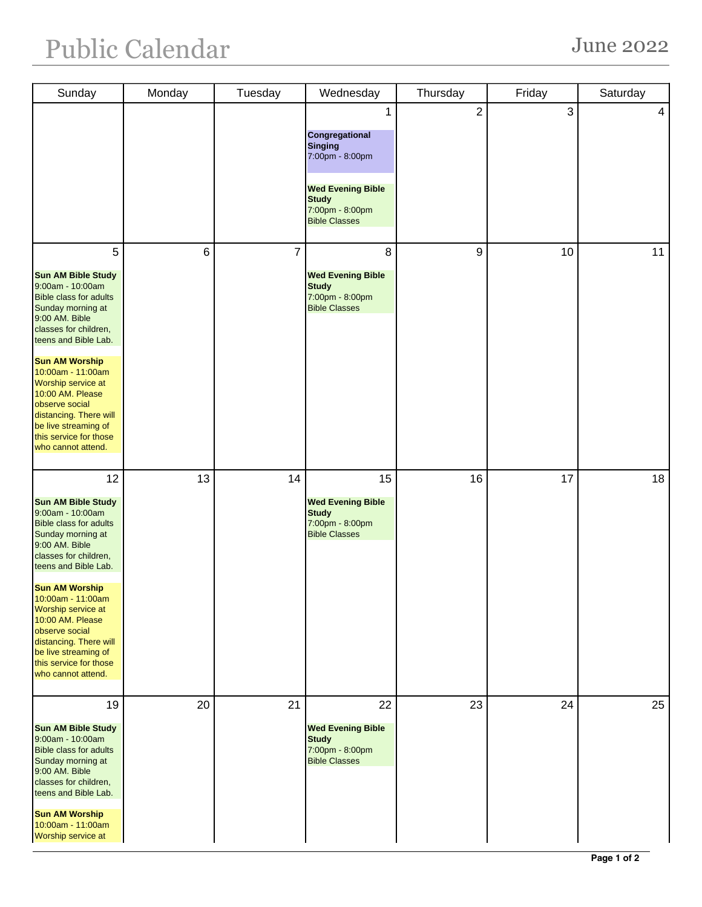| Sunday                                                                                                                                                                                                                                                                                                                                                                                      | Monday | Tuesday        | Wednesday                                                                                                                                       | Thursday       | Friday | Saturday |
|---------------------------------------------------------------------------------------------------------------------------------------------------------------------------------------------------------------------------------------------------------------------------------------------------------------------------------------------------------------------------------------------|--------|----------------|-------------------------------------------------------------------------------------------------------------------------------------------------|----------------|--------|----------|
|                                                                                                                                                                                                                                                                                                                                                                                             |        |                | 1<br>Congregational<br><b>Singing</b><br>7:00pm - 8:00pm<br><b>Wed Evening Bible</b><br><b>Study</b><br>7:00pm - 8:00pm<br><b>Bible Classes</b> | $\overline{2}$ | 3      | 4        |
| 5<br><b>Sun AM Bible Study</b><br>9:00am - 10:00am<br><b>Bible class for adults</b><br>Sunday morning at<br>9:00 AM. Bible<br>classes for children,<br>teens and Bible Lab.<br><b>Sun AM Worship</b><br>10:00am - 11:00am<br>Worship service at<br>10:00 AM. Please<br>observe social<br>distancing. There will<br>be live streaming of<br>this service for those<br>who cannot attend.     | 6      | $\overline{7}$ | 8<br><b>Wed Evening Bible</b><br><b>Study</b><br>7:00pm - 8:00pm<br><b>Bible Classes</b>                                                        | 9              | 10     | 11       |
| 12<br><b>Sun AM Bible Study</b><br>9:00am - 10:00am<br><b>Bible class for adults</b><br>Sunday morning at<br>9:00 AM. Bible<br>classes for children,<br>teens and Bible Lab.<br><b>Sun AM Worship</b><br>$10:00$ am - 11:00am<br>Worship service at<br>10:00 AM. Please<br>observe social<br>distancing. There will<br>be live streaming of<br>this service for those<br>who cannot attend. | 13     | 14             | 15<br><b>Wed Evening Bible</b><br><b>Study</b><br>7:00pm - 8:00pm<br><b>Bible Classes</b>                                                       | 16             | 17     | 18       |
| 19<br><b>Sun AM Bible Study</b><br>9:00am - 10:00am<br><b>Bible class for adults</b><br>Sunday morning at<br>9:00 AM. Bible<br>classes for children,<br>teens and Bible Lab.<br><b>Sun AM Worship</b><br>10:00am - 11:00am<br>Worship service at                                                                                                                                            | 20     | 21             | 22<br><b>Wed Evening Bible</b><br><b>Study</b><br>7:00pm - 8:00pm<br><b>Bible Classes</b>                                                       | 23             | 24     | 25       |